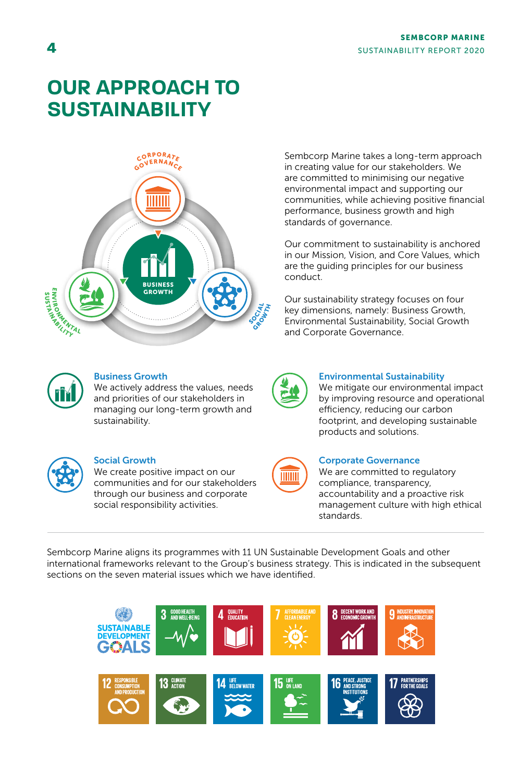# **OUR APPROACH TO SUSTAINABILITY**



Sembcorp Marine takes a long-term approach in creating value for our stakeholders. We are committed to minimising our negative environmental impact and supporting our communities, while achieving positive financial performance, business growth and high standards of governance.

Our commitment to sustainability is anchored in our Mission, Vision, and Core Values, which are the guiding principles for our business conduct.

Our sustainability strategy focuses on four key dimensions, namely: Business Growth, Environmental Sustainability, Social Growth and Corporate Governance.



### Business Growth

We actively address the values, needs and priorities of our stakeholders in managing our long-term growth and sustainability.



#### Social Growth

We create positive impact on our communities and for our stakeholders through our business and corporate social responsibility activities.



#### Environmental Sustainability

We mitigate our environmental impact by improving resource and operational efficiency, reducing our carbon footprint, and developing sustainable products and solutions.

| Ш<br>Ш |  |
|--------|--|
|        |  |
|        |  |

#### Corporate Governance

We are committed to regulatory compliance, transparency, accountability and a proactive risk management culture with high ethical standards.

Sembcorp Marine aligns its programmes with 11 UN Sustainable Development Goals and other international frameworks relevant to the Group's business strategy. This is indicated in the subsequent sections on the seven material issues which we have identified.

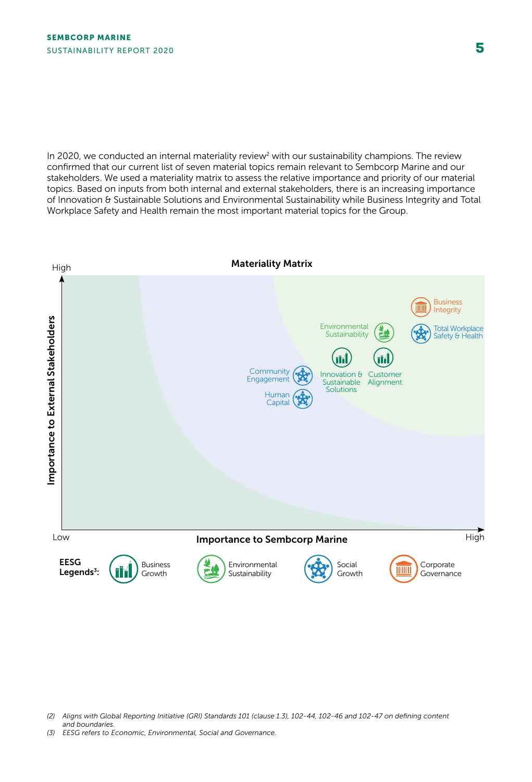In 2020, we conducted an internal materiality review<sup>2</sup> with our sustainability champions. The review confirmed that our current list of seven material topics remain relevant to Sembcorp Marine and our stakeholders. We used a materiality matrix to assess the relative importance and priority of our material topics. Based on inputs from both internal and external stakeholders, there is an increasing importance of Innovation & Sustainable Solutions and Environmental Sustainability while Business Integrity and Total Workplace Safety and Health remain the most important material topics for the Group.



*<sup>(2)</sup> Aligns with Global Reporting Initiative (GRI) Standards 101 (clause 1.3), 102-44, 102-46 and 102-47 on defining content* and boundaries.<br>(3) EESG refers to Economic. Environmental. Social and Governance.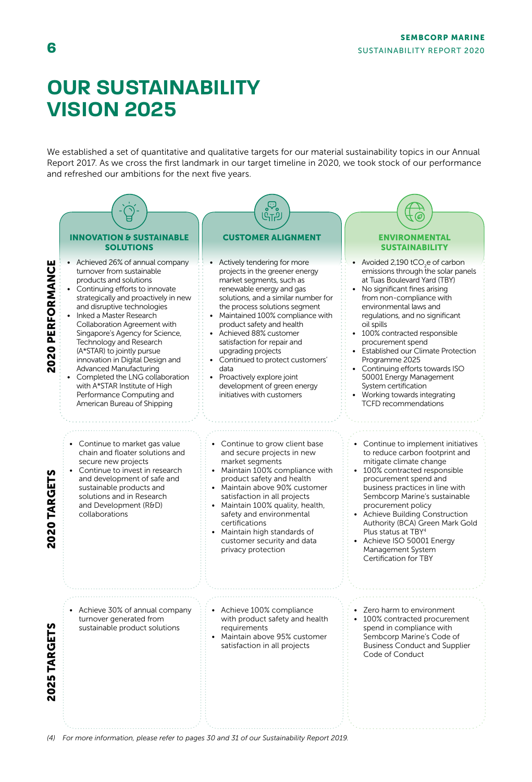## **OUR SUSTAINABILITY VISION 2025**

We established a set of quantitative and qualitative targets for our material sustainability topics in our Annual Report 2017. As we cross the first landmark in our target timeline in 2020, we took stock of our performance and refreshed our ambitions for the next five years.



*(4) For more information, please refer to pages 30 and 31 of our Sustainability Report 2019.*